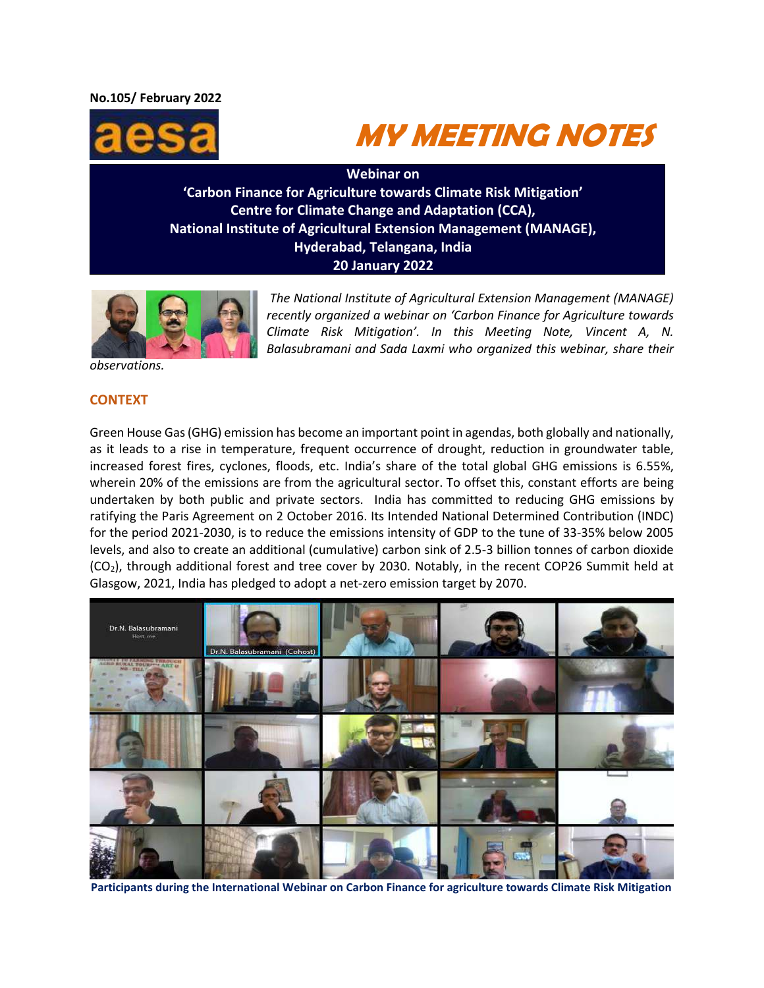**No.105/ February 2022** 





**Webinar on 'Carbon Finance for Agriculture towards Climate Risk Mitigation' Centre for Climate Change and Adaptation (CCA), National Institute of Agricultural Extension Management (MANAGE), Hyderabad, Telangana, India 20 January 2022**



*The National Institute of Agricultural Extension Management (MANAGE) recently organized a webinar on 'Carbon Finance for Agriculture towards Climate Risk Mitigation'. In this Meeting Note, Vincent A, N. Balasubramani and Sada Laxmi who organized this webinar, share their* 

*observations.*

#### **CONTEXT**

Green House Gas (GHG) emission has become an important point in agendas, both globally and nationally, as it leads to a rise in temperature, frequent occurrence of drought, reduction in groundwater table, increased forest fires, cyclones, floods, etc. India's share of the total global GHG emissions is 6.55%, wherein 20% of the emissions are from the agricultural sector. To offset this, constant efforts are being undertaken by both public and private sectors. India has committed to reducing GHG emissions by ratifying the Paris Agreement on 2 October 2016. Its Intended National Determined Contribution (INDC) for the period 2021-2030, is to reduce the emissions intensity of GDP to the tune of 33-35% below 2005 levels, and also to create an additional (cumulative) carbon sink of 2.5-3 billion tonnes of carbon dioxide (CO<sub>2</sub>), through additional forest and tree cover by 2030. Notably, in the recent COP26 Summit held at Glasgow, 2021, India has pledged to adopt a net-zero emission target by 2070.



**Participants during the International Webinar on Carbon Finance for agriculture towards Climate Risk Mitigation**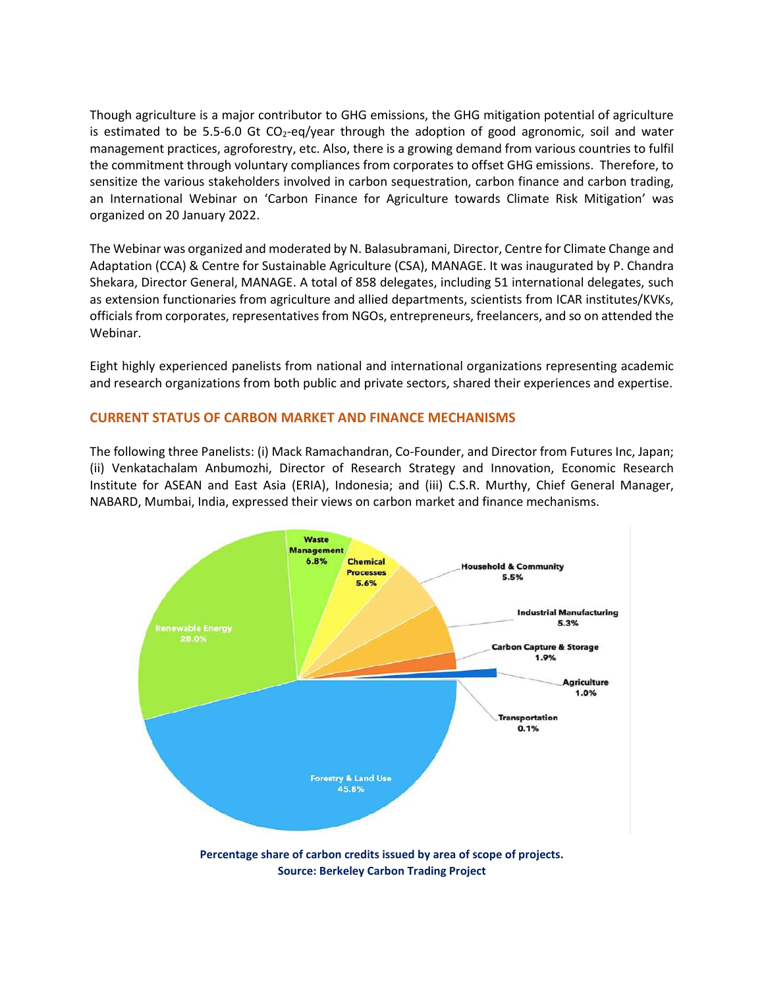Though agriculture is a major contributor to GHG emissions, the GHG mitigation potential of agriculture is estimated to be 5.5-6.0 Gt  $CO<sub>2</sub>$ -eq/year through the adoption of good agronomic, soil and water management practices, agroforestry, etc. Also, there is a growing demand from various countries to fulfil the commitment through voluntary compliances from corporates to offset GHG emissions. Therefore, to sensitize the various stakeholders involved in carbon sequestration, carbon finance and carbon trading, an International Webinar on 'Carbon Finance for Agriculture towards Climate Risk Mitigation' was organized on 20 January 2022.

The Webinar was organized and moderated by N. Balasubramani, Director, Centre for Climate Change and Adaptation (CCA) & Centre for Sustainable Agriculture (CSA), MANAGE. It was inaugurated by P. Chandra Shekara, Director General, MANAGE. A total of 858 delegates, including 51 international delegates, such as extension functionaries from agriculture and allied departments, scientists from ICAR institutes/KVKs, officials from corporates, representatives from NGOs, entrepreneurs, freelancers, and so on attended the Webinar.

Eight highly experienced panelists from national and international organizations representing academic and research organizations from both public and private sectors, shared their experiences and expertise.

# **CURRENT STATUS OF CARBON MARKET AND FINANCE MECHANISMS**

The following three Panelists: (i) Mack Ramachandran, Co-Founder, and Director from Futures Inc, Japan; (ii) Venkatachalam Anbumozhi, Director of Research Strategy and Innovation, Economic Research Institute for ASEAN and East Asia (ERIA), Indonesia; and (iii) C.S.R. Murthy, Chief General Manager, NABARD, Mumbai, India, expressed their views on carbon market and finance mechanisms.



**Source: Berkeley Carbon Trading Project**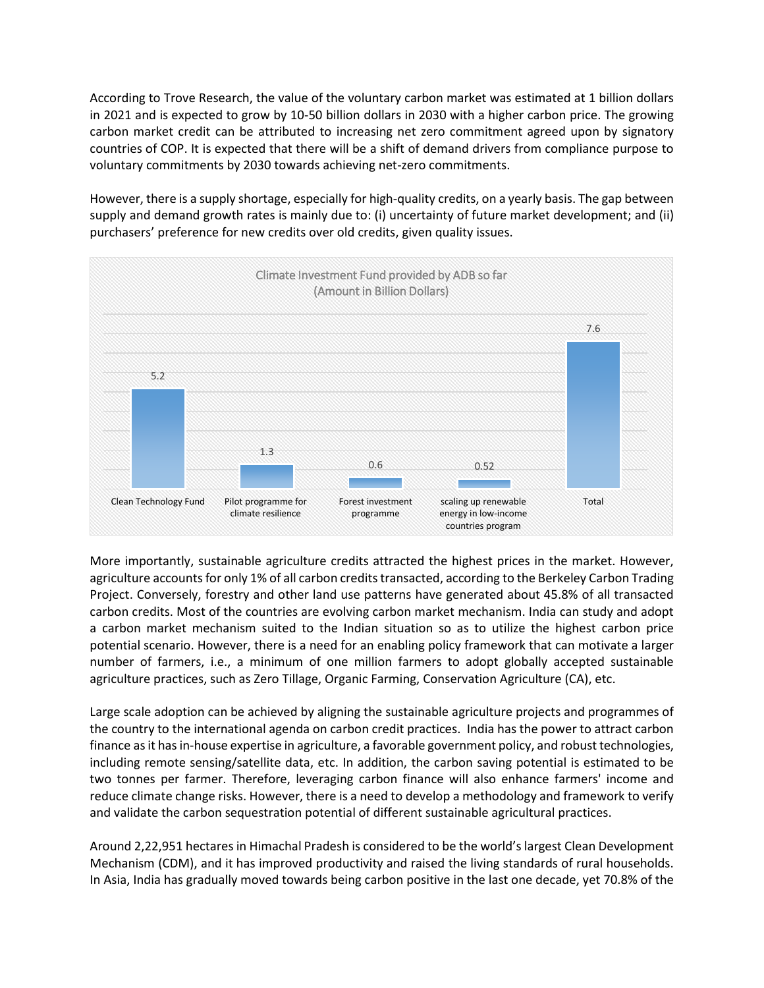According to Trove Research, the value of the voluntary carbon market was estimated at 1 billion dollars in 2021 and is expected to grow by 10-50 billion dollars in 2030 with a higher carbon price. The growing carbon market credit can be attributed to increasing net zero commitment agreed upon by signatory countries of COP. It is expected that there will be a shift of demand drivers from compliance purpose to voluntary commitments by 2030 towards achieving net-zero commitments.

However, there is a supply shortage, especially for high-quality credits, on a yearly basis. The gap between supply and demand growth rates is mainly due to: (i) uncertainty of future market development; and (ii) purchasers' preference for new credits over old credits, given quality issues.



More importantly, sustainable agriculture credits attracted the highest prices in the market. However, agriculture accounts for only 1% of all carbon credits transacted, according to the Berkeley Carbon Trading Project. Conversely, forestry and other land use patterns have generated about 45.8% of all transacted carbon credits. Most of the countries are evolving carbon market mechanism. India can study and adopt a carbon market mechanism suited to the Indian situation so as to utilize the highest carbon price potential scenario. However, there is a need for an enabling policy framework that can motivate a larger number of farmers, i.e., a minimum of one million farmers to adopt globally accepted sustainable agriculture practices, such as Zero Tillage, Organic Farming, Conservation Agriculture (CA), etc.

Large scale adoption can be achieved by aligning the sustainable agriculture projects and programmes of the country to the international agenda on carbon credit practices. India has the power to attract carbon finance as it has in-house expertise in agriculture, a favorable government policy, and robust technologies, including remote sensing/satellite data, etc. In addition, the carbon saving potential is estimated to be two tonnes per farmer. Therefore, leveraging carbon finance will also enhance farmers' income and reduce climate change risks. However, there is a need to develop a methodology and framework to verify and validate the carbon sequestration potential of different sustainable agricultural practices.

Around 2,22,951 hectares in Himachal Pradesh is considered to be the world's largest Clean Development Mechanism (CDM), and it has improved productivity and raised the living standards of rural households. In Asia, India has gradually moved towards being carbon positive in the last one decade, yet 70.8% of the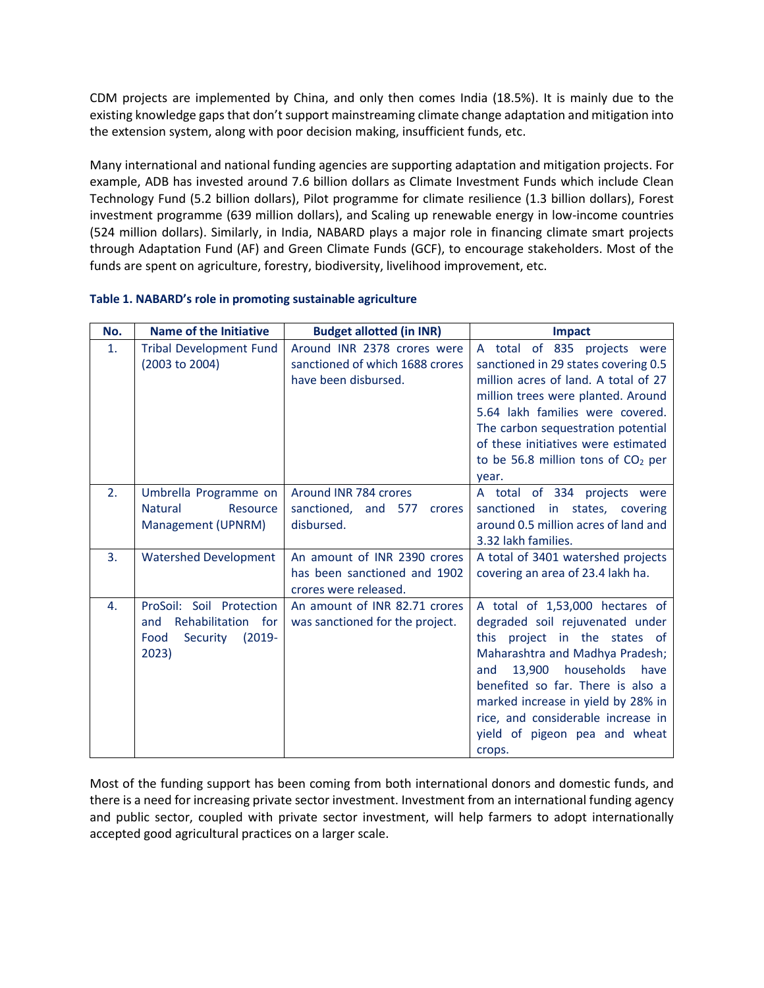CDM projects are implemented by China, and only then comes India (18.5%). It is mainly due to the existing knowledge gaps that don't support mainstreaming climate change adaptation and mitigation into the extension system, along with poor decision making, insufficient funds, etc.

Many international and national funding agencies are supporting adaptation and mitigation projects. For example, ADB has invested around 7.6 billion dollars as Climate Investment Funds which include Clean Technology Fund (5.2 billion dollars), Pilot programme for climate resilience (1.3 billion dollars), Forest investment programme (639 million dollars), and Scaling up renewable energy in low-income countries (524 million dollars). Similarly, in India, NABARD plays a major role in financing climate smart projects through Adaptation Fund (AF) and Green Climate Funds (GCF), to encourage stakeholders. Most of the funds are spent on agriculture, forestry, biodiversity, livelihood improvement, etc.

| No.            | Name of the Initiative                                                                          | <b>Budget allotted (in INR)</b>                                                        | <b>Impact</b>                                                                                                                                                                                                                                                                                                                                |
|----------------|-------------------------------------------------------------------------------------------------|----------------------------------------------------------------------------------------|----------------------------------------------------------------------------------------------------------------------------------------------------------------------------------------------------------------------------------------------------------------------------------------------------------------------------------------------|
| $\mathbf{1}$ . | <b>Tribal Development Fund</b><br>(2003 to 2004)                                                | Around INR 2378 crores were<br>sanctioned of which 1688 crores<br>have been disbursed. | of 835 projects were<br>A total<br>sanctioned in 29 states covering 0.5<br>million acres of land. A total of 27<br>million trees were planted. Around<br>5.64 lakh families were covered.<br>The carbon sequestration potential<br>of these initiatives were estimated<br>to be 56.8 million tons of $CO2$ per<br>year.                      |
| 2.             | Umbrella Programme on<br><b>Natural</b><br>Resource<br>Management (UPNRM)                       | Around INR 784 crores<br>sanctioned,<br>and<br>577<br>crores<br>disbursed.             | A total of 334 projects were<br>sanctioned in states, covering<br>around 0.5 million acres of land and<br>3.32 lakh families.                                                                                                                                                                                                                |
| 3.             | <b>Watershed Development</b>                                                                    | An amount of INR 2390 crores<br>has been sanctioned and 1902<br>crores were released.  | A total of 3401 watershed projects<br>covering an area of 23.4 lakh ha.                                                                                                                                                                                                                                                                      |
| 4.             | ProSoil: Soil Protection<br>Rehabilitation for<br>and<br>$(2019 -$<br>Security<br>Food<br>2023) | An amount of INR 82.71 crores<br>was sanctioned for the project.                       | A total of 1,53,000 hectares of<br>degraded soil rejuvenated under<br>project in the states of<br>this<br>Maharashtra and Madhya Pradesh;<br>households<br>13.900<br>have<br>and<br>benefited so far. There is also a<br>marked increase in yield by 28% in<br>rice, and considerable increase in<br>yield of pigeon pea and wheat<br>crops. |

#### **Table 1. NABARD's role in promoting sustainable agriculture**

Most of the funding support has been coming from both international donors and domestic funds, and there is a need for increasing private sector investment. Investment from an international funding agency and public sector, coupled with private sector investment, will help farmers to adopt internationally accepted good agricultural practices on a larger scale.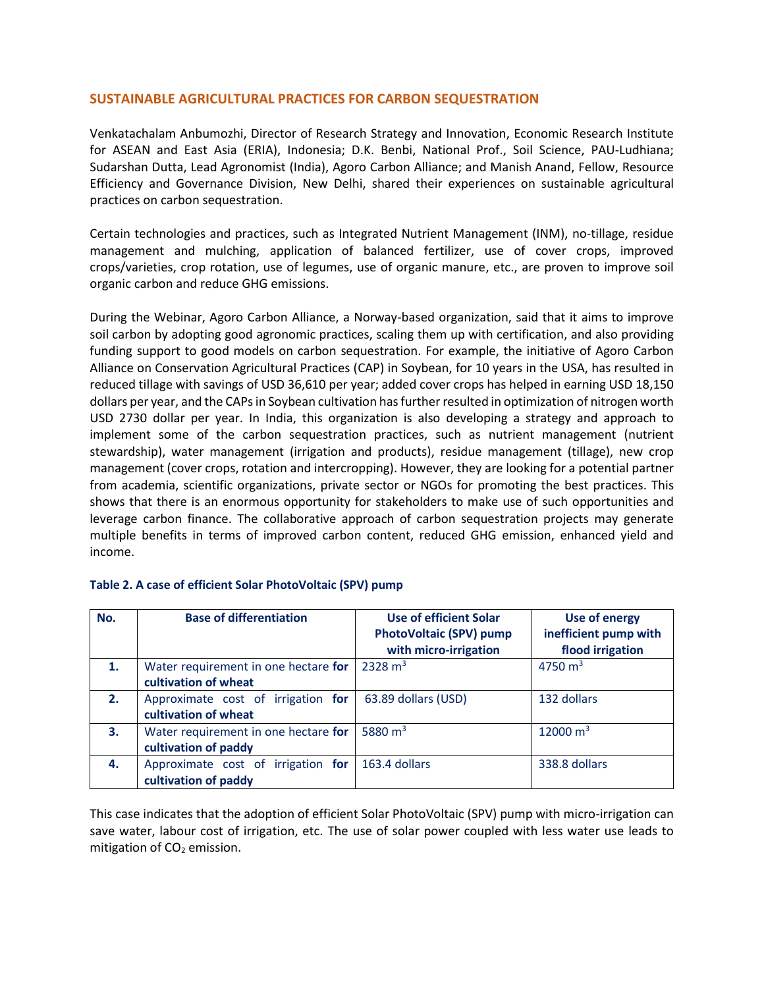# **SUSTAINABLE AGRICULTURAL PRACTICES FOR CARBON SEQUESTRATION**

Venkatachalam Anbumozhi, Director of Research Strategy and Innovation, Economic Research Institute for ASEAN and East Asia (ERIA), Indonesia; D.K. Benbi, National Prof., Soil Science, PAU-Ludhiana; Sudarshan Dutta, Lead Agronomist (India), Agoro Carbon Alliance; and Manish Anand, Fellow, Resource Efficiency and Governance Division, New Delhi, shared their experiences on sustainable agricultural practices on carbon sequestration.

Certain technologies and practices, such as Integrated Nutrient Management (INM), no-tillage, residue management and mulching, application of balanced fertilizer, use of cover crops, improved crops/varieties, crop rotation, use of legumes, use of organic manure, etc., are proven to improve soil organic carbon and reduce GHG emissions.

During the Webinar, Agoro Carbon Alliance, a Norway-based organization, said that it aims to improve soil carbon by adopting good agronomic practices, scaling them up with certification, and also providing funding support to good models on carbon sequestration. For example, the initiative of Agoro Carbon Alliance on Conservation Agricultural Practices (CAP) in Soybean, for 10 years in the USA, has resulted in reduced tillage with savings of USD 36,610 per year; added cover crops has helped in earning USD 18,150 dollars per year, and the CAPs in Soybean cultivation has further resulted in optimization of nitrogen worth USD 2730 dollar per year. In India, this organization is also developing a strategy and approach to implement some of the carbon sequestration practices, such as nutrient management (nutrient stewardship), water management (irrigation and products), residue management (tillage), new crop management (cover crops, rotation and intercropping). However, they are looking for a potential partner from academia, scientific organizations, private sector or NGOs for promoting the best practices. This shows that there is an enormous opportunity for stakeholders to make use of such opportunities and leverage carbon finance. The collaborative approach of carbon sequestration projects may generate multiple benefits in terms of improved carbon content, reduced GHG emission, enhanced yield and income.

| No. | <b>Base of differentiation</b>                               | Use of efficient Solar<br>PhotoVoltaic (SPV) pump<br>with micro-irrigation | <b>Use of energy</b><br>inefficient pump with<br>flood irrigation |
|-----|--------------------------------------------------------------|----------------------------------------------------------------------------|-------------------------------------------------------------------|
| 1.  | Water requirement in one hectare for<br>cultivation of wheat | $2328 \text{ m}^3$                                                         | 4750 $m3$                                                         |
| 2.  | Approximate cost of irrigation for<br>cultivation of wheat   | 63.89 dollars (USD)                                                        | 132 dollars                                                       |
| 3.  | Water requirement in one hectare for<br>cultivation of paddy | 5880 $m3$                                                                  | 12000 $m3$                                                        |
| 4.  | Approximate cost of irrigation for<br>cultivation of paddy   | 163.4 dollars                                                              | 338.8 dollars                                                     |

# **Table 2. A case of efficient Solar PhotoVoltaic (SPV) pump**

This case indicates that the adoption of efficient Solar PhotoVoltaic (SPV) pump with micro-irrigation can save water, labour cost of irrigation, etc. The use of solar power coupled with less water use leads to mitigation of  $CO<sub>2</sub>$  emission.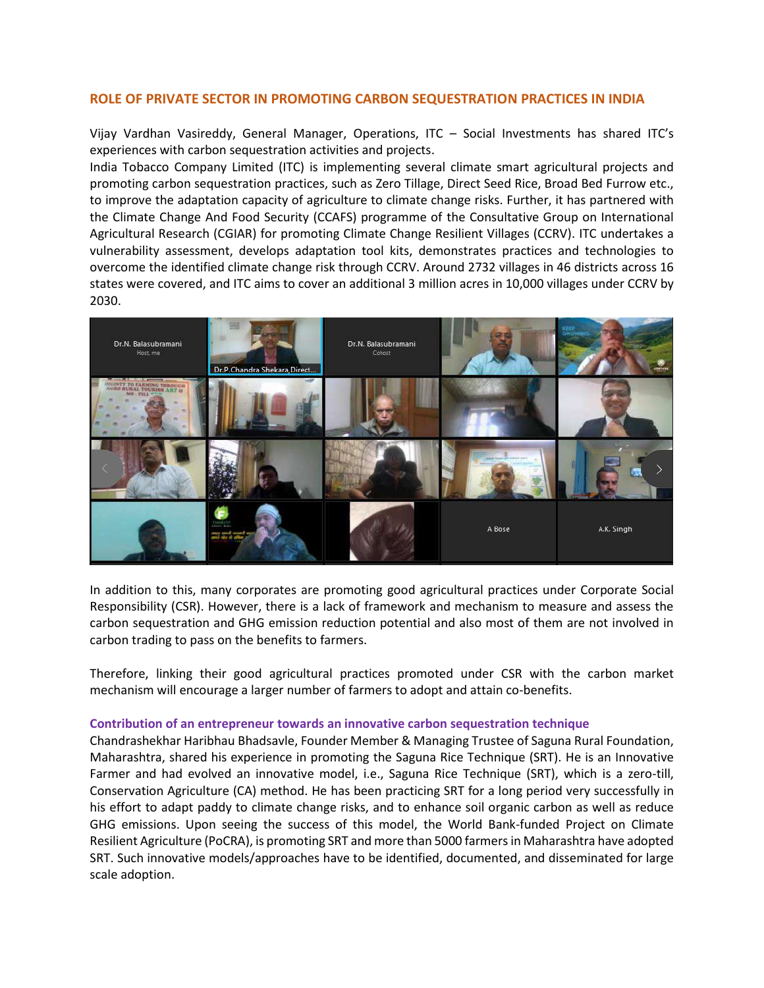# **ROLE OF PRIVATE SECTOR IN PROMOTING CARBON SEQUESTRATION PRACTICES IN INDIA**

Vijay Vardhan Vasireddy, General Manager, Operations, ITC – Social Investments has shared ITC's experiences with carbon sequestration activities and projects.

India Tobacco Company Limited (ITC) is implementing several climate smart agricultural projects and promoting carbon sequestration practices, such as Zero Tillage, Direct Seed Rice, Broad Bed Furrow etc., to improve the adaptation capacity of agriculture to climate change risks. Further, it has partnered with the Climate Change And Food Security (CCAFS) programme of the Consultative Group on International Agricultural Research (CGIAR) for promoting Climate Change Resilient Villages (CCRV). ITC undertakes a vulnerability assessment, develops adaptation tool kits, demonstrates practices and technologies to overcome the identified climate change risk through CCRV. Around 2732 villages in 46 districts across 16 states were covered, and ITC aims to cover an additional 3 million acres in 10,000 villages under CCRV by 2030.



In addition to this, many corporates are promoting good agricultural practices under Corporate Social Responsibility (CSR). However, there is a lack of framework and mechanism to measure and assess the carbon sequestration and GHG emission reduction potential and also most of them are not involved in carbon trading to pass on the benefits to farmers.

Therefore, linking their good agricultural practices promoted under CSR with the carbon market mechanism will encourage a larger number of farmers to adopt and attain co-benefits.

#### **Contribution of an entrepreneur towards an innovative carbon sequestration technique**

Chandrashekhar Haribhau Bhadsavle, Founder Member & Managing Trustee of Saguna Rural Foundation, Maharashtra, shared his experience in promoting the Saguna Rice Technique (SRT). He is an Innovative Farmer and had evolved an innovative model, i.e., Saguna Rice Technique (SRT), which is a zero-till, Conservation Agriculture (CA) method. He has been practicing SRT for a long period very successfully in his effort to adapt paddy to climate change risks, and to enhance soil organic carbon as well as reduce GHG emissions. Upon seeing the success of this model, the World Bank-funded Project on Climate Resilient Agriculture (PoCRA), is promoting SRT and more than 5000 farmersin Maharashtra have adopted SRT. Such innovative models/approaches have to be identified, documented, and disseminated for large scale adoption.